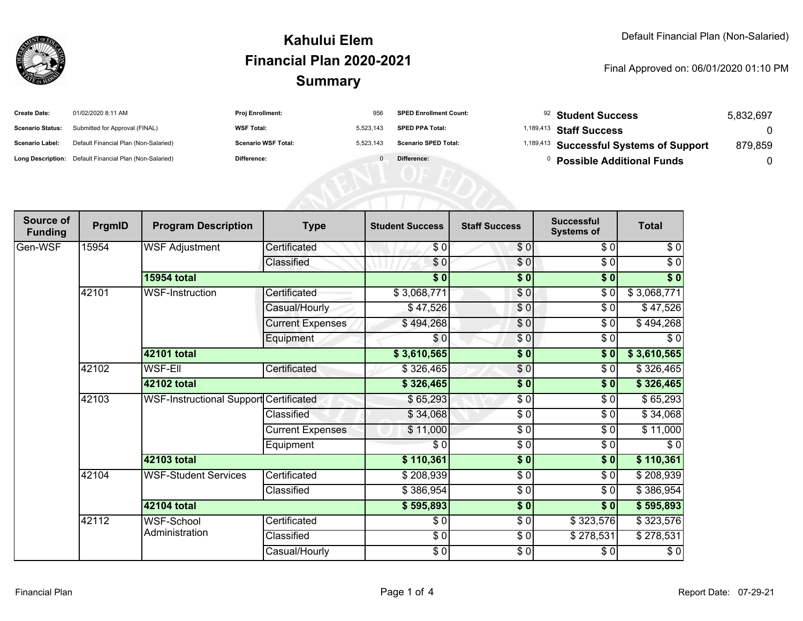

#### **SummaryKahului ElemFinancial Plan 2020-2021**

#### Final Approved on: 06/01/2020 01:10 PM

| <b>Create Date:</b>     | 01/02/2020 8:11 AM                                      | <b>Proj Enrollment:</b>    | 956       | <b>SPED Enrollment Count:</b> | <sup>92</sup> Student Success           | 5,832,697 |
|-------------------------|---------------------------------------------------------|----------------------------|-----------|-------------------------------|-----------------------------------------|-----------|
| <b>Scenario Status:</b> | Submitted for Approval (FINAL)                          | <b>WSF Total:</b>          | 5,523,143 | <b>SPED PPA Total:</b>        | <sup>1,189,413</sup> Staff Success      |           |
| Scenario Label:         | Default Financial Plan (Non-Salaried)                   | <b>Scenario WSF Total:</b> | 5,523,143 | <b>Scenario SPED Total:</b>   | 1,189,413 Successful Systems of Support | 879.859   |
|                         | Long Description: Default Financial Plan (Non-Salaried) | Difference:                |           | Difference:                   | <b>Possible Additional Funds</b>        |           |
|                         |                                                         |                            |           |                               |                                         |           |
|                         |                                                         |                            |           |                               |                                         |           |
|                         |                                                         |                            |           |                               |                                         |           |

| Source of<br><b>Funding</b> | PrgmID | <b>Program Description</b>             | <b>Type</b>             | <b>Student Success</b> | <b>Staff Success</b> | <b>Successful</b><br><b>Systems of</b> | <b>Total</b> |
|-----------------------------|--------|----------------------------------------|-------------------------|------------------------|----------------------|----------------------------------------|--------------|
| Gen-WSF                     | 15954  | <b>WSF Adjustment</b>                  | Certificated            | \$0                    | \$0                  | \$0                                    | \$0          |
|                             |        |                                        | Classified              | \$0                    | \$0                  | \$0                                    | $\sqrt{6}$   |
|                             |        | <b>15954 total</b>                     |                         | \$0                    | \$0                  | \$0                                    | \$0          |
|                             | 42101  | <b>WSF-Instruction</b>                 | Certificated            | \$3,068,771            | \$0                  | \$0                                    | \$3,068,771  |
|                             |        |                                        | Casual/Hourly           | \$47,526               | $\frac{6}{3}$        | \$0                                    | \$47,526     |
|                             |        |                                        | <b>Current Expenses</b> | \$494,268              | $\sqrt{6}$           | \$0                                    | \$494,268    |
|                             |        |                                        | Equipment               | \$0                    | \$0                  | \$0                                    | \$0          |
|                             |        | 42101 total                            |                         | \$3,610,565            | $\frac{1}{2}$        | \$0                                    | \$3,610,565  |
|                             | 42102  | <b>WSF-EII</b>                         | Certificated            | \$326,465              | \$0                  | \$0                                    | \$326,465    |
|                             |        | 42102 total                            |                         | \$326,465              | $\frac{1}{2}$        | \$0                                    | \$326,465    |
|                             | 42103  | WSF-Instructional Support Certificated |                         | \$65,293               | \$0                  | \$0                                    | \$65,293     |
|                             |        |                                        | Classified              | \$34,068               | \$0                  | \$0                                    | \$34,068     |
|                             |        |                                        | <b>Current Expenses</b> | \$11,000               | $\frac{3}{2}$        | \$0                                    | \$11,000     |
|                             |        |                                        | Equipment               | \$0                    | $\frac{3}{2}$        | $\sqrt{6}$                             | \$0          |
|                             |        | <b>42103 total</b>                     |                         | \$110,361              | $\frac{1}{2}$        | \$0                                    | \$110,361    |
|                             | 42104  | <b>WSF-Student Services</b>            | Certificated            | \$208,939              | $\sqrt{6}$           | \$0                                    | \$208,939    |
|                             |        |                                        | Classified              | \$386,954              | $\frac{3}{2}$        | $\sqrt{6}$                             | \$386,954    |
|                             |        | <b>42104 total</b>                     |                         | \$595,893              | $\frac{1}{2}$        | $\frac{1}{2}$                          | \$595,893    |
|                             | 42112  | <b>WSF-School</b><br>Administration    | Certificated            | \$0                    | \$0                  | \$323,576                              | \$323,576    |
|                             |        |                                        | Classified              | $\frac{3}{6}$          | \$0                  | $\overline{$}278,531$                  | \$278,531    |
|                             |        |                                        | Casual/Hourly           | $\frac{6}{6}$          | $\frac{3}{2}$        | \$0]                                   | $\sqrt{6}$   |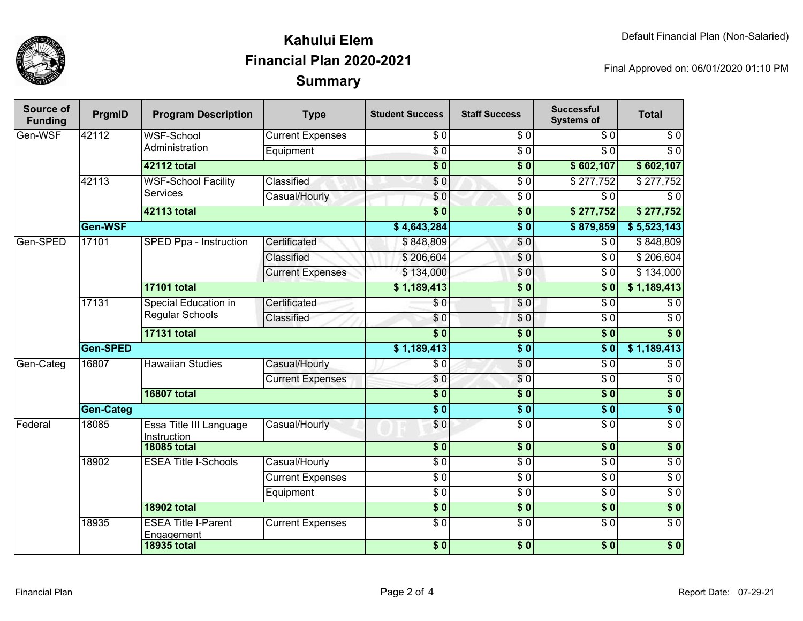

### **SummaryKahului ElemFinancial Plan 2020-2021**

Final Approved on: 06/01/2020 01:10 PM

| Source of<br><b>Funding</b> | PrgmID           | <b>Program Description</b>                     | <b>Type</b>             | <b>Student Success</b> | <b>Staff Success</b> | <b>Successful</b><br><b>Systems of</b> | <b>Total</b>     |                  |
|-----------------------------|------------------|------------------------------------------------|-------------------------|------------------------|----------------------|----------------------------------------|------------------|------------------|
| Gen-WSF                     | 42112            | <b>WSF-School</b><br>Administration            | <b>Current Expenses</b> | \$0                    | \$0                  | \$0                                    | \$0              |                  |
|                             |                  |                                                | Equipment               | $\overline{S}0$        | $\overline{\$0}$     | $\overline{S}0$                        | $\overline{S}0$  |                  |
|                             |                  | <b>42112 total</b>                             |                         | $\overline{$}0$        | $\overline{\$0}$     | \$602,107                              | \$602,107        |                  |
|                             | 42113            | <b>WSF-School Facility</b><br><b>Services</b>  | Classified              | \$0                    | $\overline{\$0}$     | $\sqrt{$277,752}$                      | \$277,752        |                  |
|                             |                  |                                                | Casual/Hourly           | $\overline{\$0}$       | $\overline{\$0}$     | \$0                                    | $\overline{\$0}$ |                  |
|                             |                  | 42113 total                                    |                         | $\overline{\$0}$       | $\overline{\$0}$     | \$277,752                              | \$277,752        |                  |
|                             | Gen-WSF          |                                                |                         | \$4,643,284            | $\overline{\$0}$     | \$879,859                              | \$5,523,143      |                  |
| Gen-SPED                    | 17101            | SPED Ppa - Instruction                         | Certificated            | \$848,809              | $\sqrt{0}$           | \$0                                    | \$848,809        |                  |
|                             |                  |                                                | Classified              | \$206,604              | $\sqrt{6}$           | $\overline{\$0}$                       | \$206,604        |                  |
|                             |                  |                                                | <b>Current Expenses</b> | \$134,000              | \$0                  | $\overline{30}$                        | \$134,000        |                  |
|                             |                  | <b>17101 total</b>                             |                         | \$1,189,413            | $\overline{\$0}$     | $\overline{\$0}$                       | \$1,189,413      |                  |
|                             | 17131            | Special Education in<br><b>Regular Schools</b> | Certificated            | \$0                    | \$0                  | $\overline{30}$                        | $\overline{\$0}$ |                  |
|                             |                  |                                                | Classified              | \$0                    | $\sqrt{0}$           | $\overline{30}$                        | $\overline{50}$  |                  |
|                             |                  | <b>17131 total</b>                             |                         | s <sub>0</sub>         | $\overline{\$0}$     | $\overline{\$0}$                       | $\overline{\$0}$ |                  |
|                             | Gen-SPED         |                                                |                         |                        | $\overline{\$0}$     | $\overline{\$0}$                       | \$1,189,413      |                  |
| Gen-Categ                   | 16807            |                                                | <b>Hawaiian Studies</b> | Casual/Hourly          | $\overline{\$0}$     | $\sqrt{6}$                             | $\overline{30}$  | $\overline{\$0}$ |
|                             |                  |                                                | <b>Current Expenses</b> | \$0                    | $\sqrt{6}$           | $\overline{\$0}$                       | $\overline{50}$  |                  |
|                             |                  | <b>16807 total</b>                             |                         | $\overline{\$0}$       | $\overline{\$0}$     | $\overline{\$0}$                       | $\overline{\$0}$ |                  |
|                             | <b>Gen-Categ</b> |                                                |                         | $\overline{\$0}$       | $\overline{\$0}$     | $\overline{\$0}$                       | $\overline{\$0}$ |                  |
| Federal                     | 18085            | Essa Title III Language<br>Instruction         | Casual/Hourly           | \$0                    | $\overline{\$0}$     | $\overline{\$0}$                       | $\overline{50}$  |                  |
|                             |                  | <b>18085 total</b>                             |                         | $\overline{\$0}$       | $\overline{\$0}$     | $\overline{\textbf{50}}$               | $\overline{\$0}$ |                  |
|                             | 18902            | <b>ESEA Title I-Schools</b>                    | Casual/Hourly           | $\overline{S}0$        | $\overline{\$0}$     | $\overline{\$0}$                       | $\overline{\$0}$ |                  |
|                             |                  |                                                | <b>Current Expenses</b> | $\overline{\$0}$       | $\overline{\$0}$     | $\overline{\$0}$                       | $\overline{\$0}$ |                  |
|                             |                  |                                                | Equipment               | $\overline{\$0}$       | $\overline{\$0}$     | $\overline{\$0}$                       | $\overline{\$0}$ |                  |
|                             |                  | <b>18902 total</b>                             |                         | $\overline{\$0}$       | $\overline{\bullet}$ | $\overline{\$0}$                       | $\overline{\$0}$ |                  |
|                             | 18935            | <b>ESEA Title I-Parent</b><br>Engagement       | <b>Current Expenses</b> | $\overline{\$0}$       | $\overline{\$0}$     | $\overline{\$0}$                       | $\overline{\$0}$ |                  |
|                             |                  | <b>18935 total</b>                             |                         | $\frac{1}{2}$          | $\sqrt{6}$           | $\sqrt{6}$                             | $\sqrt{6}$       |                  |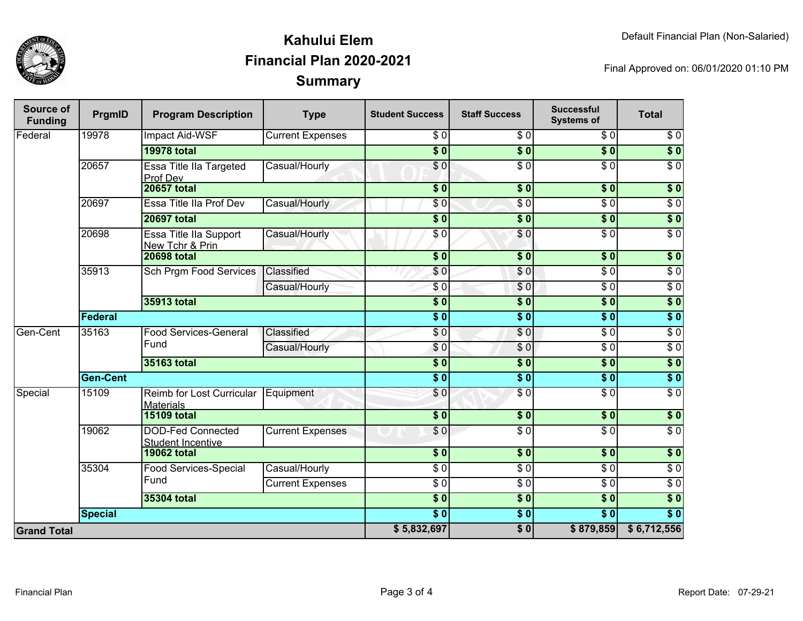

## **SummaryKahului ElemFinancial Plan 2020-2021**

Final Approved on: 06/01/2020 01:10 PM

| <b>Source of</b><br><b>Funding</b> | PrgmID             | <b>Program Description</b>                           | <b>Type</b>             | <b>Student Success</b>     | <b>Staff Success</b> | <b>Successful</b><br><b>Systems of</b> | <b>Total</b>     |
|------------------------------------|--------------------|------------------------------------------------------|-------------------------|----------------------------|----------------------|----------------------------------------|------------------|
| Federal                            | 19978              | Impact Aid-WSF                                       | <b>Current Expenses</b> | \$0                        | \$0                  | \$0                                    | $\sqrt{6}$       |
|                                    |                    | <b>19978 total</b>                                   |                         | $\overline{\$0}$           | $\overline{\$0}$     | $\overline{\$0}$                       | $\overline{\$0}$ |
|                                    | 20657              | Essa Title IIa Targeted<br>Prof Dev                  | Casual/Hourly           | \$0                        | $\overline{\$0}$     | $\overline{50}$                        | $\overline{\$0}$ |
|                                    |                    | <b>20657 total</b>                                   |                         | $\overline{\$0}$           | $\overline{\$0}$     | $\overline{\$0}$                       | $\overline{\$0}$ |
|                                    | 20697              | Essa Title IIa Prof Dev                              | Casual/Hourly           | $\frac{6}{6}$              | $\overline{\$0}$     | $\overline{\$0}$                       | $\overline{\$0}$ |
|                                    |                    | <b>20697 total</b>                                   |                         | $\overline{\$0}$           | $\overline{\$0}$     | $\overline{\$0}$                       | $\sqrt{6}$       |
|                                    | 20698              | Essa Title IIa Support<br>New Tchr & Prin            | Casual/Hourly           | \$0                        | \$0                  | $\overline{\$0}$                       | $\overline{\$0}$ |
|                                    |                    | <b>20698 total</b>                                   |                         | $\overline{\$0}$           | $\overline{\$0}$     | $\overline{\$0}$                       | $\overline{\$0}$ |
|                                    | 35913              | Sch Prgm Food Services                               | Classified              | \$0                        | \$0                  | $\overline{S}0$                        | $\sqrt{6}$       |
|                                    |                    |                                                      | Casual/Hourly           | \$0                        | \$0                  | $\sqrt{6}$                             | $\overline{30}$  |
|                                    |                    | 35913 total                                          |                         | $\overline{\$0}$           | $\sqrt{6}$           | $\overline{\$0}$                       | \$0              |
|                                    | <b>Federal</b>     |                                                      |                         | $\overline{\$0}$           | $\overline{\$0}$     | $\overline{\$0}$                       | $\overline{\$0}$ |
| Gen-Cent                           | 35163              | <b>Food Services-General</b><br>Fund                 | Classified              | $\overline{\phantom{0}50}$ | $\sqrt{6}$           | $\sqrt{6}$                             | $\sqrt{6}$       |
|                                    |                    |                                                      | Casual/Hourly           | \$0                        | \$0                  | \$0                                    | $\sqrt{6}$       |
|                                    |                    | 35163 total                                          |                         | $\overline{\$0}$           | \$0                  | $\overline{\$0}$                       | \$0              |
|                                    | <b>Gen-Cent</b>    |                                                      |                         | $\overline{\$0}$           | $\sqrt{6}$           | \$0                                    | \$0              |
| Special                            | 15109              | Reimb for Lost Curricular<br><b>Materials</b>        | Equipment               | $\overline{\phantom{0}50}$ | $\sqrt{6}$           | $\sqrt{6}$                             | $\sqrt{6}$       |
|                                    |                    | <b>15109 total</b>                                   |                         | $\overline{\$0}$           | $\overline{\$0}$     | $\overline{\$0}$                       | $\overline{\$0}$ |
|                                    | 19062              | <b>DOD-Fed Connected</b><br><b>Student Incentive</b> | <b>Current Expenses</b> | \$0                        | $\overline{\$0}$     | $\overline{\$0}$                       | $\overline{\$0}$ |
|                                    | <b>19062 total</b> |                                                      |                         | $\overline{\$0}$           | \$0                  | $\overline{\$0}$                       | $\sqrt{6}$       |
|                                    | 35304              | <b>Food Services-Special</b><br>Fund                 | Casual/Hourly           | $\overline{\$0}$           | $\overline{\$0}$     | $\overline{\$0}$                       | $\overline{\$0}$ |
|                                    |                    |                                                      | <b>Current Expenses</b> | \$ 0                       | $\overline{\$0}$     | $\overline{\$0}$                       | $\overline{\$0}$ |
|                                    | 35304 total        |                                                      |                         | $\overline{\$0}$           | $\overline{\$0}$     | $\overline{\$0}$                       | $\overline{\$0}$ |
|                                    | <b>Special</b>     |                                                      |                         | $\overline{\bullet}$ 0     | $\sqrt{6}$           | $\overline{\textbf{S}^0}$              | $\overline{\$0}$ |
| <b>Grand Total</b>                 |                    |                                                      |                         | \$5,832,697                | $\overline{\$0}$     | \$879,859                              | \$6,712,556      |